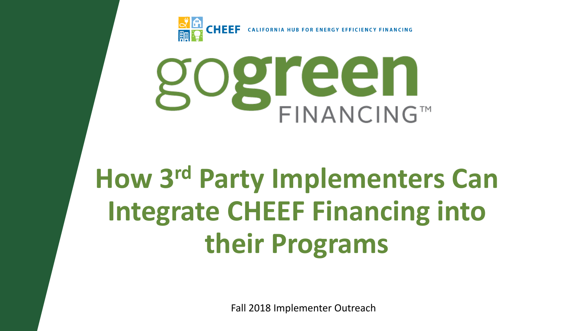



# **How 3rd Party Implementers Can Integrate CHEEF Financing into their Programs**

Fall 2018 Implementer Outreach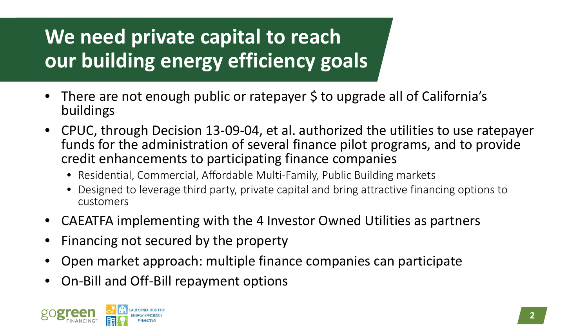# **We need private capital to reach our building energy efficiency goals**

- There are not enough public or ratepayer \$ to upgrade all of California's buildings
- CPUC, through Decision 13-09-04, et al. authorized the utilities to use ratepayer funds for the administration of several finance pilot programs, and to provide credit enhancements to participating finance companies
	- Residential, Commercial, Affordable Multi-Family, Public Building markets
	- Designed to leverage third party, private capital and bring attractive financing options to customers
- CAEATFA implementing with the 4 Investor Owned Utilities as partners
- Financing not secured by the property
- Open market approach: multiple finance companies can participate
- On-Bill and Off-Bill repayment options

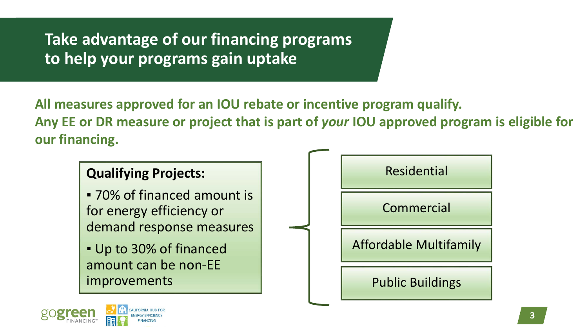**Take advantage of our financing programs to help your programs gain uptake**

**All measures approved for an IOU rebate or incentive program qualify. Any EE or DR measure or project that is part of** *your* **IOU approved program is eligible for our financing.** 



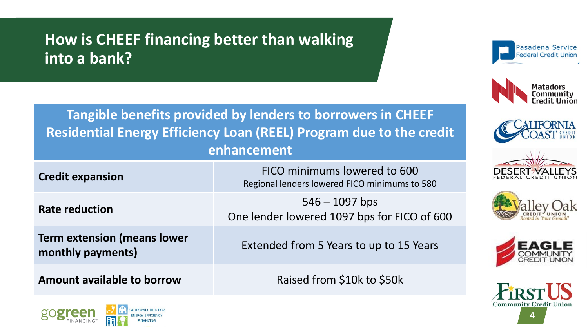#### **How is CHEEF financing better than walking into a bank?**















**Tangible benefits provided by lenders to borrowers in CHEEF Residential Energy Efficiency Loan (REEL) Program due to the credit enhancement**

| <b>Credit expansion</b>                                 | FICO minimums lowered to 600<br>Regional lenders lowered FICO minimums to 580 |
|---------------------------------------------------------|-------------------------------------------------------------------------------|
| <b>Rate reduction</b>                                   | $546 - 1097$ bps<br>One lender lowered 1097 bps for FICO of 600               |
| <b>Term extension (means lower</b><br>monthly payments) | Extended from 5 Years to up to 15 Years                                       |
| Amount available to borrow                              | Raised from \$10k to \$50k                                                    |



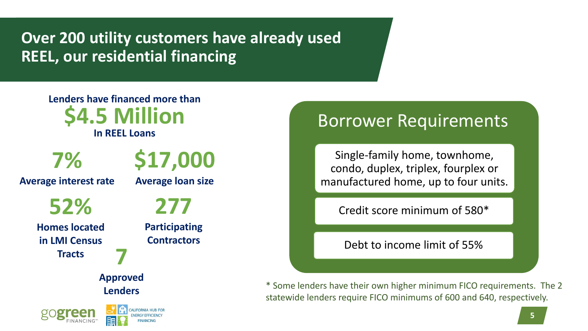**Over 200 utility customers have already used REEL, our residential financing** 

**7 Approved Lenders \$17,000 Average loan size Lenders have financed more than \$4.5 Million In REEL Loans 277 Participating Contractors 7% Average interest rate 52% Homes located in LMI Census Tracts**

#### Borrower Requirements

Single-family home, townhome, condo, duplex, triplex, fourplex or manufactured home, up to four units.

Credit score minimum of 580\*

Debt to income limit of 55%

\* Some lenders have their own higher minimum FICO requirements. The 2 statewide lenders require FICO minimums of 600 and 640, respectively.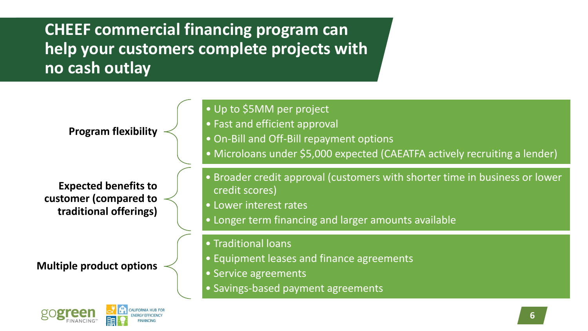**CHEEF commercial financing program can help your customers complete projects with no cash outlay**

**Program flexibility**

**Expected benefits to customer (compared to traditional offerings)**

**Multiple product options**



- Up to \$5MM per project
- Fast and efficient approval
- On-Bill and Off-Bill repayment options
- Microloans under \$5,000 expected (CAEATFA actively recruiting a lender)
- Broader credit approval (customers with shorter time in business or lower credit scores)
- Lower interest rates
- Longer term financing and larger amounts available
- Traditional loans
- Equipment leases and finance agreements
- Service agreements
- Savings-based payment agreements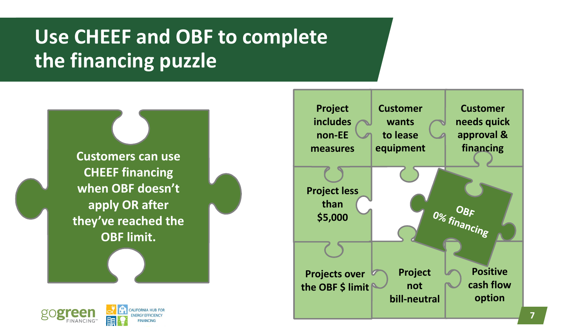## **Use CHEEF and OBF to complete the financing puzzle**





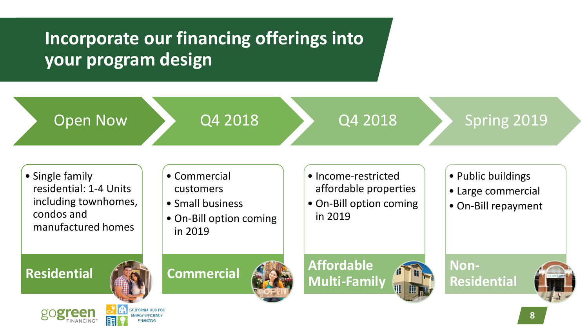### **Incorporate our financing offerings into your program design**

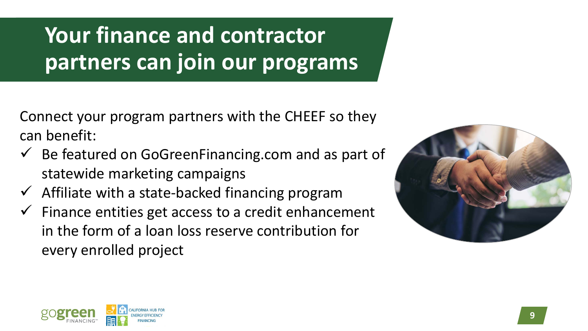**Your finance and contractor partners can join our programs**

Connect your program partners with the CHEEF so they can benefit:

- $\checkmark$  Be featured on GoGreenFinancing.com and as part of statewide marketing campaigns
- $\checkmark$  Affiliate with a state-backed financing program
- $\checkmark$  Finance entities get access to a credit enhancement in the form of a loan loss reserve contribution for every enrolled project